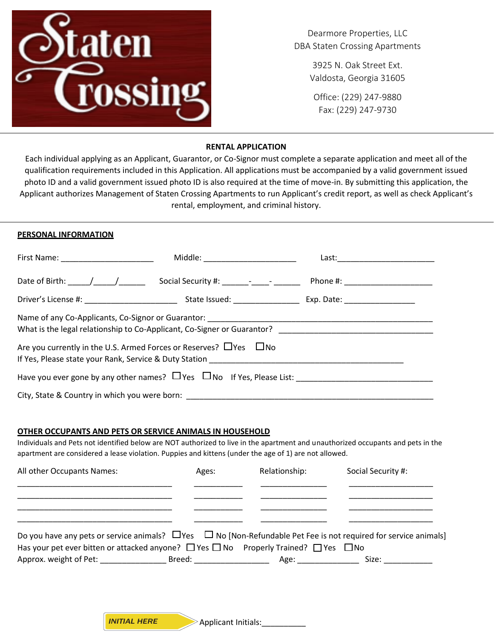

Dearmore Properties, LLC DBA Staten Crossing Apartments

> 3925 N. Oak Street Ext. Valdosta, Georgia 31605

Office: (229) 247-9880 Fax: (229) 247-9730

## **RENTAL APPLICATION**

Each individual applying as an Applicant, Guarantor, or Co-Signor must complete a separate application and meet all of the qualification requirements included in this Application. All applications must be accompanied by a valid government issued photo ID and a valid government issued photo ID is also required at the time of move-in. By submitting this application, the Applicant authorizes Management of Staten Crossing Apartments to run Applicant's credit report, as well as check Applicant's rental, employment, and criminal history.

## **PERSONAL INFORMATION ARE APPROVED FOR OCCUPANT APPROVEMENT BE FULLY AND COMPLETELY AND COMPLETELY AND COMPLETE**

|                                                                                                                                                                  | Middle: ________________________                                                                                                                                                                                               | Last: <u>www.community.com</u>     |  |  |
|------------------------------------------------------------------------------------------------------------------------------------------------------------------|--------------------------------------------------------------------------------------------------------------------------------------------------------------------------------------------------------------------------------|------------------------------------|--|--|
|                                                                                                                                                                  |                                                                                                                                                                                                                                | Phone #: _________________________ |  |  |
|                                                                                                                                                                  |                                                                                                                                                                                                                                |                                    |  |  |
|                                                                                                                                                                  | What is the legal relationship to Co-Applicant, Co-Signer or Guarantor? [1986] [1986] What is the legal relationship to Co-Applicant, Co-Signer or Guarantor? [1986] [1986] [1986] [1986] [1986] [1986] [1986] [1986] [1986] [ |                                    |  |  |
| Are you currently in the U.S. Armed Forces or Reserves? $\Box$ Yes $\Box$ No<br>If Yes, Please state your Rank, Service & Duty Station _________________________ |                                                                                                                                                                                                                                |                                    |  |  |
| Have you ever gone by any other names? $\Box$ Yes $\Box$ No If Yes, Please List:                                                                                 |                                                                                                                                                                                                                                |                                    |  |  |
|                                                                                                                                                                  | City, State & Country in which you were born: __________________________________                                                                                                                                               |                                    |  |  |

#### **OTHER OCCUPANTS AND PETS OR SERVICE ANIMALS IN HOUSEHOLD**

Individuals and Pets not identified below are NOT authorized to live in the apartment and unauthorized occupants and pets in the apartment are considered a lease violation. Puppies and kittens (under the age of 1) are not allowed.

| All other Occupants Names:                                                                                                 | Ages: | Relationship: | Social Security #:                                                                                                                                                                                                             |  |
|----------------------------------------------------------------------------------------------------------------------------|-------|---------------|--------------------------------------------------------------------------------------------------------------------------------------------------------------------------------------------------------------------------------|--|
|                                                                                                                            |       |               |                                                                                                                                                                                                                                |  |
|                                                                                                                            |       |               |                                                                                                                                                                                                                                |  |
| Do you have any pets or service animals? $\Box$ Yes $\Box$ No [Non-Refundable Pet Fee is not required for service animals] |       |               |                                                                                                                                                                                                                                |  |
| Has your pet ever bitten or attacked anyone? $\Box$ Yes $\Box$ No Properly Trained? $\Box$ Yes $\Box$ No                   |       |               |                                                                                                                                                                                                                                |  |
|                                                                                                                            |       |               | Size: when the state of the state of the state of the state of the state of the state of the state of the state of the state of the state of the state of the state of the state of the state of the state of the state of the |  |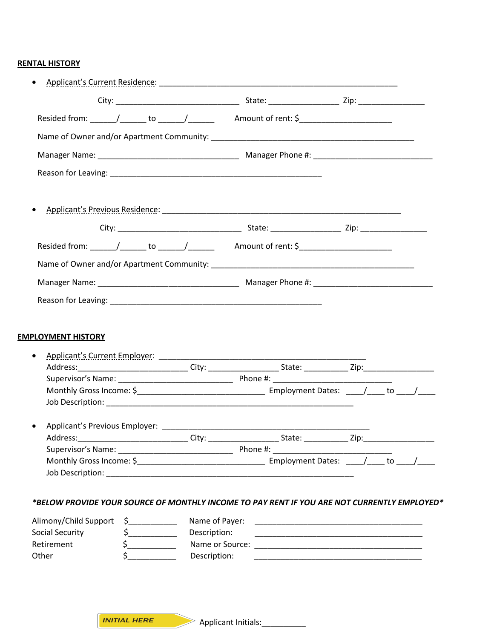# **RENTAL HISTORY**

| Address: ______________________________City: ________________________State: __________________________________<br>Address:<br>City:<br>. State: ____________ Zip:_<br>Name of Payer:<br>$\frac{1}{2}$<br>Description:<br>$\frac{1}{2}$<br>$\sim$ |  |  |  |  |
|--------------------------------------------------------------------------------------------------------------------------------------------------------------------------------------------------------------------------------------------------|--|--|--|--|
|                                                                                                                                                                                                                                                  |  |  |  |  |
| <b>EMPLOYMENT HISTORY</b>                                                                                                                                                                                                                        |  |  |  |  |
|                                                                                                                                                                                                                                                  |  |  |  |  |
|                                                                                                                                                                                                                                                  |  |  |  |  |
|                                                                                                                                                                                                                                                  |  |  |  |  |
|                                                                                                                                                                                                                                                  |  |  |  |  |
|                                                                                                                                                                                                                                                  |  |  |  |  |
|                                                                                                                                                                                                                                                  |  |  |  |  |
|                                                                                                                                                                                                                                                  |  |  |  |  |
|                                                                                                                                                                                                                                                  |  |  |  |  |
|                                                                                                                                                                                                                                                  |  |  |  |  |
|                                                                                                                                                                                                                                                  |  |  |  |  |
|                                                                                                                                                                                                                                                  |  |  |  |  |
|                                                                                                                                                                                                                                                  |  |  |  |  |
|                                                                                                                                                                                                                                                  |  |  |  |  |
|                                                                                                                                                                                                                                                  |  |  |  |  |
|                                                                                                                                                                                                                                                  |  |  |  |  |
| *BELOW PROVIDE YOUR SOURCE OF MONTHLY INCOME TO PAY RENT IF YOU ARE NOT CURRENTLY EMPLOYED*<br>Alimony/Child Support<br>Social Security<br>Retirement                                                                                            |  |  |  |  |
|                                                                                                                                                                                                                                                  |  |  |  |  |
|                                                                                                                                                                                                                                                  |  |  |  |  |
|                                                                                                                                                                                                                                                  |  |  |  |  |
|                                                                                                                                                                                                                                                  |  |  |  |  |
|                                                                                                                                                                                                                                                  |  |  |  |  |
| $\sharp$<br>Description:<br>Other<br><u> 1989 - Johann John Stoff, deutscher Stoffen und der Stoffen und der Stoffen und der Stoffen und der Stoffen</u>                                                                                         |  |  |  |  |

*INITIAL HERE*

Applicant Initials:\_\_\_\_\_\_\_\_\_\_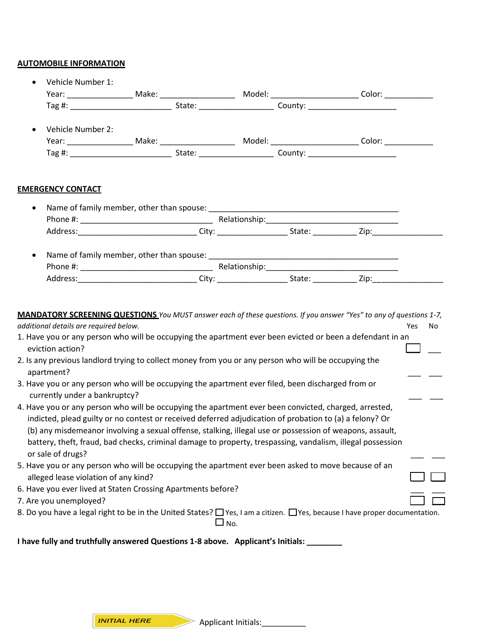## **AUTOMOBILE INFORMATION**

|           | Vehicle Number 1:                                                                                                                                                                                                                                                                                                                                                                                                                                               |               |  |           |
|-----------|-----------------------------------------------------------------------------------------------------------------------------------------------------------------------------------------------------------------------------------------------------------------------------------------------------------------------------------------------------------------------------------------------------------------------------------------------------------------|---------------|--|-----------|
|           |                                                                                                                                                                                                                                                                                                                                                                                                                                                                 |               |  |           |
|           | Tag #: State: State: County:                                                                                                                                                                                                                                                                                                                                                                                                                                    |               |  |           |
|           | Vehicle Number 2:                                                                                                                                                                                                                                                                                                                                                                                                                                               |               |  |           |
|           |                                                                                                                                                                                                                                                                                                                                                                                                                                                                 |               |  |           |
|           |                                                                                                                                                                                                                                                                                                                                                                                                                                                                 |               |  |           |
|           | <b>EMERGENCY CONTACT</b>                                                                                                                                                                                                                                                                                                                                                                                                                                        |               |  |           |
| $\bullet$ |                                                                                                                                                                                                                                                                                                                                                                                                                                                                 |               |  |           |
|           |                                                                                                                                                                                                                                                                                                                                                                                                                                                                 |               |  |           |
|           | Address: ________________________________City: ______________________State: ______________Zip:___________                                                                                                                                                                                                                                                                                                                                                       |               |  |           |
| $\bullet$ |                                                                                                                                                                                                                                                                                                                                                                                                                                                                 |               |  |           |
|           |                                                                                                                                                                                                                                                                                                                                                                                                                                                                 |               |  |           |
|           |                                                                                                                                                                                                                                                                                                                                                                                                                                                                 |               |  |           |
|           | additional details are required below.<br>1. Have you or any person who will be occupying the apartment ever been evicted or been a defendant in an<br>eviction action?                                                                                                                                                                                                                                                                                         |               |  | Yes<br>No |
|           | 2. Is any previous landlord trying to collect money from you or any person who will be occupying the<br>apartment?                                                                                                                                                                                                                                                                                                                                              |               |  |           |
|           | 3. Have you or any person who will be occupying the apartment ever filed, been discharged from or<br>currently under a bankruptcy?                                                                                                                                                                                                                                                                                                                              |               |  |           |
|           | 4. Have you or any person who will be occupying the apartment ever been convicted, charged, arrested,<br>indicted, plead guilty or no contest or received deferred adjudication of probation to (a) a felony? Or<br>(b) any misdemeanor involving a sexual offense, stalking, illegal use or possession of weapons, assault,<br>battery, theft, fraud, bad checks, criminal damage to property, trespassing, vandalism, illegal possession<br>or sale of drugs? |               |  |           |
|           | 5. Have you or any person who will be occupying the apartment ever been asked to move because of an<br>alleged lease violation of any kind?                                                                                                                                                                                                                                                                                                                     |               |  |           |
|           | 6. Have you ever lived at Staten Crossing Apartments before?<br>7. Are you unemployed?                                                                                                                                                                                                                                                                                                                                                                          |               |  |           |
|           | 8. Do you have a legal right to be in the United States? □ Yes, I am a citizen. □ Yes, because I have proper documentation.                                                                                                                                                                                                                                                                                                                                     | $\square$ No. |  |           |

**I have fully and truthfully answered Questions 1-8 above. Applicant's Initials: \_\_\_\_\_\_\_\_** 

Applicant Initials:\_\_\_\_\_\_\_\_\_\_ *INITIAL HERE*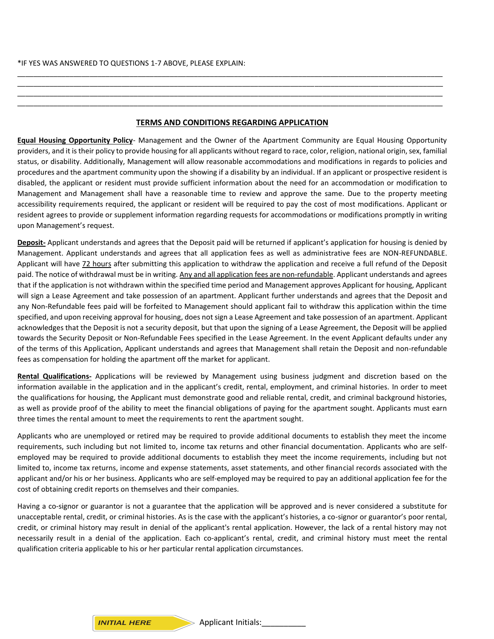#### \*IF YES WAS ANSWERED TO QUESTIONS 1-7 ABOVE, PLEASE EXPLAIN:

#### **TERMS AND CONDITIONS REGARDING APPLICATION**

\_\_\_\_\_\_\_\_\_\_\_\_\_\_\_\_\_\_\_\_\_\_\_\_\_\_\_\_\_\_\_\_\_\_\_\_\_\_\_\_\_\_\_\_\_\_\_\_\_\_\_\_\_\_\_\_\_\_\_\_\_\_\_\_\_\_\_\_\_\_\_\_\_\_\_\_\_\_\_\_\_\_\_\_\_\_\_\_\_\_\_\_\_\_\_\_\_\_\_\_\_\_\_\_\_\_ \_\_\_\_\_\_\_\_\_\_\_\_\_\_\_\_\_\_\_\_\_\_\_\_\_\_\_\_\_\_\_\_\_\_\_\_\_\_\_\_\_\_\_\_\_\_\_\_\_\_\_\_\_\_\_\_\_\_\_\_\_\_\_\_\_\_\_\_\_\_\_\_\_\_\_\_\_\_\_\_\_\_\_\_\_\_\_\_\_\_\_\_\_\_\_\_\_\_\_\_\_\_\_\_\_\_ \_\_\_\_\_\_\_\_\_\_\_\_\_\_\_\_\_\_\_\_\_\_\_\_\_\_\_\_\_\_\_\_\_\_\_\_\_\_\_\_\_\_\_\_\_\_\_\_\_\_\_\_\_\_\_\_\_\_\_\_\_\_\_\_\_\_\_\_\_\_\_\_\_\_\_\_\_\_\_\_\_\_\_\_\_\_\_\_\_\_\_\_\_\_\_\_\_\_\_\_\_\_\_\_\_\_ \_\_\_\_\_\_\_\_\_\_\_\_\_\_\_\_\_\_\_\_\_\_\_\_\_\_\_\_\_\_\_\_\_\_\_\_\_\_\_\_\_\_\_\_\_\_\_\_\_\_\_\_\_\_\_\_\_\_\_\_\_\_\_\_\_\_\_\_\_\_\_\_\_\_\_\_\_\_\_\_\_\_\_\_\_\_\_\_\_\_\_\_\_\_\_\_\_\_\_\_\_\_\_\_\_\_

**Equal Housing Opportunity Policy**- Management and the Owner of the Apartment Community are Equal Housing Opportunity providers, and it istheir policy to provide housing for all applicants without regard to race, color, religion, national origin, sex, familial status, or disability. Additionally, Management will allow reasonable accommodations and modifications in regards to policies and procedures and the apartment community upon the showing if a disability by an individual. If an applicant or prospective resident is disabled, the applicant or resident must provide sufficient information about the need for an accommodation or modification to Management and Management shall have a reasonable time to review and approve the same. Due to the property meeting accessibility requirements required, the applicant or resident will be required to pay the cost of most modifications. Applicant or resident agrees to provide or supplement information regarding requests for accommodations or modifications promptly in writing upon Management's request.

**Deposit-** Applicant understands and agrees that the Deposit paid will be returned if applicant's application for housing is denied by Management. Applicant understands and agrees that all application fees as well as administrative fees are NON-REFUNDABLE. Applicant will have 72 hours after submitting this application to withdraw the application and receive a full refund of the Deposit paid. The notice of withdrawal must be in writing. Any and all application fees are non-refundable. Applicant understands and agrees that if the application is not withdrawn within the specified time period and Management approves Applicant for housing, Applicant will sign a Lease Agreement and take possession of an apartment. Applicant further understands and agrees that the Deposit and any Non-Refundable fees paid will be forfeited to Management should applicant fail to withdraw this application within the time specified, and upon receiving approval for housing, does not sign a Lease Agreement and take possession of an apartment. Applicant acknowledges that the Deposit is not a security deposit, but that upon the signing of a Lease Agreement, the Deposit will be applied towards the Security Deposit or Non-Refundable Fees specified in the Lease Agreement. In the event Applicant defaults under any of the terms of this Application, Applicant understands and agrees that Management shall retain the Deposit and non-refundable fees as compensation for holding the apartment off the market for applicant.

**Rental Qualifications-** Applications will be reviewed by Management using business judgment and discretion based on the information available in the application and in the applicant's credit, rental, employment, and criminal histories. In order to meet the qualifications for housing, the Applicant must demonstrate good and reliable rental, credit, and criminal background histories, as well as provide proof of the ability to meet the financial obligations of paying for the apartment sought. Applicants must earn three times the rental amount to meet the requirements to rent the apartment sought.

Applicants who are unemployed or retired may be required to provide additional documents to establish they meet the income requirements, such including but not limited to, income tax returns and other financial documentation. Applicants who are selfemployed may be required to provide additional documents to establish they meet the income requirements, including but not limited to, income tax returns, income and expense statements, asset statements, and other financial records associated with the applicant and/or his or her business. Applicants who are self-employed may be required to pay an additional application fee for the cost of obtaining credit reports on themselves and their companies.

Having a co-signor or guarantor is not a guarantee that the application will be approved and is never considered a substitute for unacceptable rental, credit, or criminal histories. As is the case with the applicant's histories, a co-signor or guarantor's poor rental, credit, or criminal history may result in denial of the applicant's rental application. However, the lack of a rental history may not necessarily result in a denial of the application. Each co-applicant's rental, credit, and criminal history must meet the rental qualification criteria applicable to his or her particular rental application circumstances.

#### *INITIAL HERE*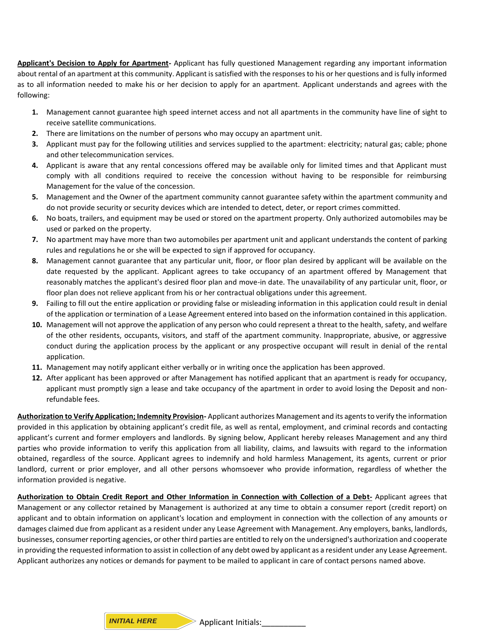**Applicant's Decision to Apply for Apartment-** Applicant has fully questioned Management regarding any important information about rental of an apartment at this community. Applicant is satisfied with the responses to his or her questions and is fully informed as to all information needed to make his or her decision to apply for an apartment. Applicant understands and agrees with the following:

- **1.** Management cannot guarantee high speed internet access and not all apartments in the community have line of sight to receive satellite communications.
- **2.** There are limitations on the number of persons who may occupy an apartment unit.
- **3.** Applicant must pay for the following utilities and services supplied to the apartment: electricity; natural gas; cable; phone and other telecommunication services.
- **4.** Applicant is aware that any rental concessions offered may be available only for limited times and that Applicant must comply with all conditions required to receive the concession without having to be responsible for reimbursing Management for the value of the concession.
- **5.** Management and the Owner of the apartment community cannot guarantee safety within the apartment community and do not provide security or security devices which are intended to detect, deter, or report crimes committed.
- **6.** No boats, trailers, and equipment may be used or stored on the apartment property. Only authorized automobiles may be used or parked on the property.
- **7.** No apartment may have more than two automobiles per apartment unit and applicant understands the content of parking rules and regulations he or she will be expected to sign if approved for occupancy.
- **8.** Management cannot guarantee that any particular unit, floor, or floor plan desired by applicant will be available on the date requested by the applicant. Applicant agrees to take occupancy of an apartment offered by Management that reasonably matches the applicant's desired floor plan and move-in date. The unavailability of any particular unit, floor, or floor plan does not relieve applicant from his or her contractual obligations under this agreement.
- **9.** Failing to fill out the entire application or providing false or misleading information in this application could result in denial of the application or termination of a Lease Agreement entered into based on the information contained in this application.
- **10.** Management will not approve the application of any person who could represent a threat to the health, safety, and welfare of the other residents, occupants, visitors, and staff of the apartment community. Inappropriate, abusive, or aggressive conduct during the application process by the applicant or any prospective occupant will result in denial of the rental application.
- **11.** Management may notify applicant either verbally or in writing once the application has been approved.
- **12.** After applicant has been approved or after Management has notified applicant that an apartment is ready for occupancy, applicant must promptly sign a lease and take occupancy of the apartment in order to avoid losing the Deposit and nonrefundable fees.

**Authorization to Verify Application; Indemnity Provision-** Applicant authorizes Management and its agents to verify the information provided in this application by obtaining applicant's credit file, as well as rental, employment, and criminal records and contacting applicant's current and former employers and landlords. By signing below, Applicant hereby releases Management and any third parties who provide information to verify this application from all liability, claims, and lawsuits with regard to the information obtained, regardless of the source. Applicant agrees to indemnify and hold harmless Management, its agents, current or prior landlord, current or prior employer, and all other persons whomsoever who provide information, regardless of whether the information provided is negative.

**Authorization to Obtain Credit Report and Other Information in Connection with Collection of a Debt-** Applicant agrees that Management or any collector retained by Management is authorized at any time to obtain a consumer report (credit report) on applicant and to obtain information on applicant's location and employment in connection with the collection of any amounts or damages claimed due from applicant as a resident under any Lease Agreement with Management. Any employers, banks, landlords, businesses, consumer reporting agencies, or other third parties are entitled to rely on the undersigned's authorization and cooperate in providing the requested information to assist in collection of any debt owed by applicant as a resident under any Lease Agreement. Applicant authorizes any notices or demands for payment to be mailed to applicant in care of contact persons named above.

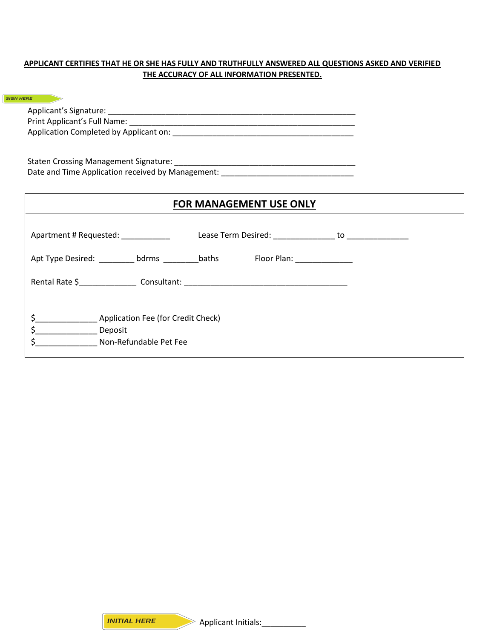# **APPLICANT CERTIFIES THAT HE OR SHE HAS FULLY AND TRUTHFULLY ANSWERED ALL QUESTIONS ASKED AND VERIFIED THE ACCURACY OF ALL INFORMATION PRESENTED.**

| <b>SIGN HERE</b>                               |                                                                                   |
|------------------------------------------------|-----------------------------------------------------------------------------------|
|                                                |                                                                                   |
|                                                |                                                                                   |
|                                                |                                                                                   |
|                                                |                                                                                   |
|                                                |                                                                                   |
|                                                | Date and Time Application received by Management: ______________________________  |
|                                                |                                                                                   |
|                                                | FOR MANAGEMENT USE ONLY                                                           |
|                                                |                                                                                   |
|                                                |                                                                                   |
|                                                |                                                                                   |
|                                                | Apt Type Desired: ___________ bdrms ___________baths Floor Plan: _______________  |
|                                                |                                                                                   |
|                                                | Rental Rate \$_____________________Consultant: __________________________________ |
|                                                |                                                                                   |
|                                                |                                                                                   |
|                                                |                                                                                   |
| \$_____________________ Deposit                |                                                                                   |
| \$_____________________ Non-Refundable Pet Fee |                                                                                   |
|                                                |                                                                                   |
|                                                |                                                                                   |
|                                                |                                                                                   |
|                                                |                                                                                   |
|                                                |                                                                                   |
|                                                |                                                                                   |
|                                                |                                                                                   |
|                                                |                                                                                   |
|                                                |                                                                                   |
|                                                |                                                                                   |
|                                                |                                                                                   |
|                                                |                                                                                   |
|                                                |                                                                                   |
|                                                |                                                                                   |
|                                                |                                                                                   |
|                                                |                                                                                   |
|                                                |                                                                                   |
|                                                |                                                                                   |
|                                                |                                                                                   |
|                                                |                                                                                   |
|                                                |                                                                                   |
|                                                |                                                                                   |
|                                                |                                                                                   |
| <b>INITIAL HERE</b>                            | <b>Applicant Initials:</b>                                                        |

Applicant Initials: 1999